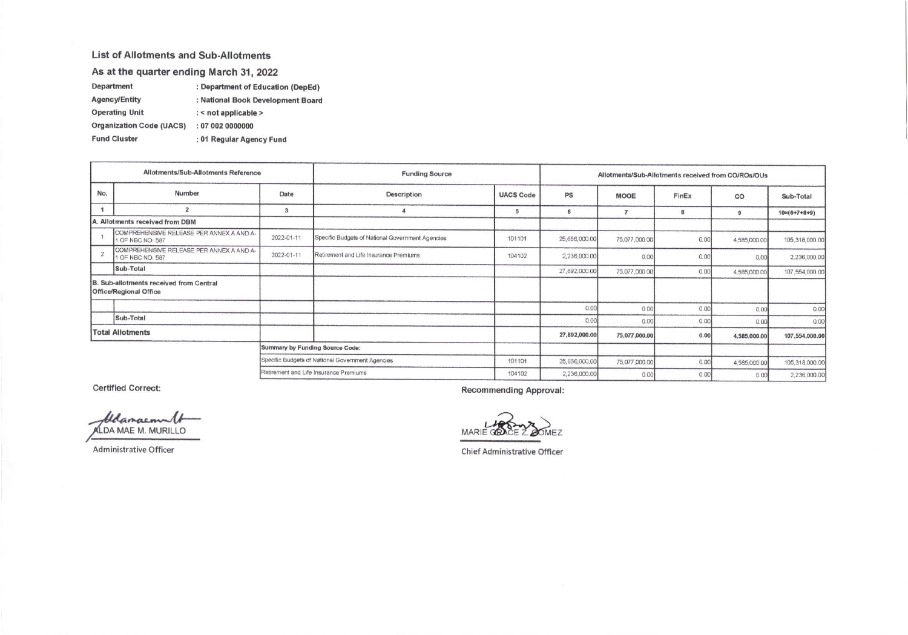## List of Allotments and Sub-Allotments

As at the quarter ending March 31, 2022

| Department            | : Department of Education (DepEd) |
|-----------------------|-----------------------------------|
| <b>Agency/Entity</b>  | : National Book Development Board |
| <b>Operating Unit</b> | $:$ < not applicable >            |

Organization Code (UACS) : 07 002 0000000

: 01 Regular Agency Fund **Fund Cluster** 

| Allotments/Sub-Allotments Reference                        |                                                                            | <b>Funding Source</b>                            |                                                  | Allotments/Sub-Allotments received from CO/ROs/OUs |               |               |              |                |                        |
|------------------------------------------------------------|----------------------------------------------------------------------------|--------------------------------------------------|--------------------------------------------------|----------------------------------------------------|---------------|---------------|--------------|----------------|------------------------|
| No.                                                        | Number<br>Date                                                             |                                                  | <b>Description</b><br><b>UACS Code</b>           |                                                    | PS            | <b>MOOE</b>   | FinEx        | CO             | Sub-Total              |
|                                                            | $\overline{2}$                                                             | 3                                                |                                                  | 5                                                  | 6             |               | 8            | $\mathbf{q}$   | $10 = (6 + 7 + 8 + 9)$ |
|                                                            | A. Allotments received from DBM                                            |                                                  |                                                  |                                                    |               |               |              |                |                        |
|                                                            | COMPREHENSIVE RELEASE PER ANNEX A AND A-<br>1 OF NBC NO. 587               | 2022-01-11                                       | Specific Budgets of National Government Agencies | 101101                                             | 25,656,000.00 | 75,077,000.00 | 0.00         | 4,585,000.00   | 105,318,000.00         |
|                                                            | COMPREHENSIVE RELEASE PER ANNEX A AND A-<br>2022-01-11<br>1 OF NBC NO. 587 |                                                  | Retirement and Life Insurance Premiums           | 104102                                             | 2,236,000.00  | 0.00          | 0.00         | 0.00           | 2,236,000.00           |
|                                                            | Sub-Total                                                                  |                                                  |                                                  |                                                    | 27,892,000.00 | 75,077,000.00 | 0.00         | 4,585,000.00   | 107,554,000.00         |
|                                                            | B. Sub-allotments received from Central<br><b>Office/Regional Office</b>   |                                                  |                                                  |                                                    |               |               |              |                |                        |
|                                                            |                                                                            |                                                  |                                                  |                                                    | 0.00          | 0.00          | 0.00         | 0.00           | 0.00                   |
|                                                            | Sub-Total                                                                  |                                                  |                                                  |                                                    | 0.00          | 0.00          | 0.00         | 0.00           | 0.00                   |
| <b>Total Allotments</b><br>Summary by Funding Source Code: |                                                                            |                                                  |                                                  |                                                    | 27,892,000.00 | 75,077,000.00 | 0.00         | 4,585,000.00   | 107,554,000.00         |
|                                                            |                                                                            |                                                  |                                                  |                                                    |               |               |              |                |                        |
|                                                            |                                                                            | Specific Budgets of National Government Agencies | 101101                                           | 25,656,000.00                                      | 75,077,000.00 | 0.00          | 4,585,000.00 | 105,318,000.00 |                        |
| Retirement and Life Insurance Premiums                     |                                                                            |                                                  | 104102                                           | 2,236,000.00                                       | 0.00          | 0.00          | 0.00         | 2.236,000.00   |                        |

**Certified Correct:** 

belanacount ALDA MAE M. MURILLO

Administrative Officer

**Recommending Approval:** 

**MARIE OF**  $A FZ$ 

**Chief Administrative Officer**